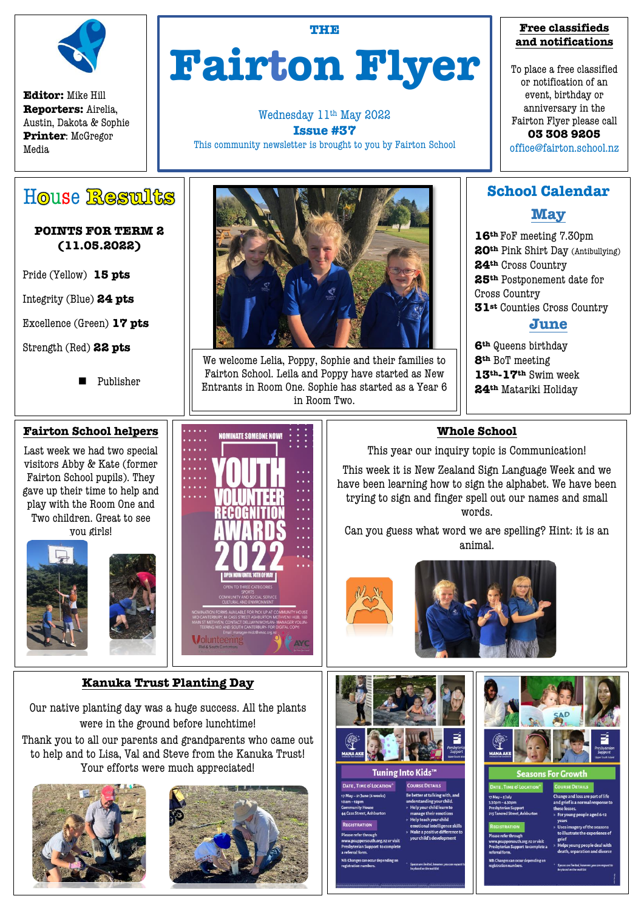

**Editor:** Mike Hill **Reporters:** Airelia, Austin, Dakota & Sophie **Printer**: McGregor Media

# **Fairton Flyer**

**THE**

Wednesday 11th May 2022 **Issue #37** This community newsletter is brought to you by Fairton School

#### **Free classifieds and notifications**

To place a free classified or notification of an event, birthday or anniversary in the Fairton Flyer please call **03 308 9205**

office@fairton.school.nz

# House Restults

#### **POINTS FOR TERM 2 (11.05.2022)**

Pride (Yellow) **15 pts**

Integrity (Blue) **24 pts**

Excellence (Green) **17 pts**

Strength (Red) **22 pts**

Publisher

#### **Fairton School helpers**

Last week we had two special visitors Abby & Kate (former Fairton School pupils). They gave up their time to help and play with the Room One and Two children. Great to see you girls!





### **Kanuka Trust Planting Day**

Our native planting day was a huge success. All the plants were in the ground before lunchtime! Thank you to all our parents and grandparents who came out to help and to Lisa, Val and Steve from the Kanuka Trust! Your efforts were much appreciated!







We welcome Lelia, Poppy, Sophie and their families to Fairton School. Leila and Poppy have started as New Entrants in Room One. Sophie has started as a Year 6 in Room Two.

NOMINATE COMEONE NOW

# **School Calendar**

# **May**

**th** FoF meeting 7.30pm **th** Pink Shirt Day (Antibullying) **th** Cross Country **th** Postponement date for Cross Country **st** Counties Cross Country

# **June**

**th** Queens birthday **th** BoT meeting **th-17th** Swim week **th** Matariki Holiday

## **Whole School**

This year our inquiry topic is Communication!

This week it is New Zealand Sign Language Week and we have been learning how to sign the alphabet. We have been trying to sign and finger spell out our names and small words.

Can you guess what word we are spelling? Hint: it is an animal.





| Tuning Into Kids™                                                                                                                                                                                                                                 |                                                                                                                                                                                                                                             |
|---------------------------------------------------------------------------------------------------------------------------------------------------------------------------------------------------------------------------------------------------|---------------------------------------------------------------------------------------------------------------------------------------------------------------------------------------------------------------------------------------------|
| DATE, TIME & LOCATION*                                                                                                                                                                                                                            | <b>COURSE DETAILS</b>                                                                                                                                                                                                                       |
| 17 May – 21 June (6 weeks)<br>$0am-12pm$<br><b>Community House</b><br><b>44 Cass Street, Ashburton</b><br><b>REGISTRATION</b><br>Please refer through<br>www.psuppersouth.org.nz or visit<br>Presbyterian Support to complete<br>a referral form. | Be better at talking with, and<br>understanding your child.<br>» Help your child learn to<br>manage their emotions<br>» Help teach your child<br>emotional intelligence skill<br>» Make a positive difference t<br>vour child's development |
| NB: Changes can occur depending on<br>registration numbers.                                                                                                                                                                                       | Spaces are limited, however, you can reque<br>be placed on the waitlist                                                                                                                                                                     |



| <b>ME &amp; LOCATION</b>                                                                                                                               | <b>COURSE DETAILS</b>                                                                                                                                                                                                                                                           |
|--------------------------------------------------------------------------------------------------------------------------------------------------------|---------------------------------------------------------------------------------------------------------------------------------------------------------------------------------------------------------------------------------------------------------------------------------|
| ulv<br>30pm<br><b>In Support</b><br><b>Street, Ashburton</b><br><b>ATION</b><br>r through<br>ersouth.org.nz or visit<br>in Support to complete a<br>m. | Change and loss are part of life<br>and grief is a normal response to<br>these losses.<br>» For young people aged 6-12<br>vears<br>» Uses imagery of the seasons<br>to illustrate the experience of<br>grief<br>» Helps young people deal with<br>death, separation and divorce |
| s can occur depending on<br>numbers.                                                                                                                   | Spaces are limited, however, you can request t<br>be placed on the waitlist                                                                                                                                                                                                     |